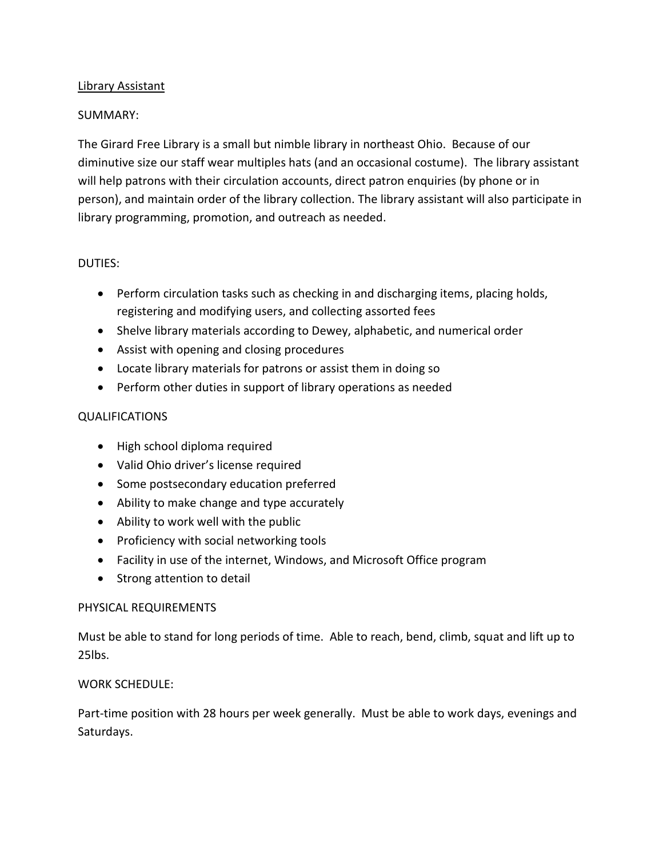## Library Assistant

## SUMMARY:

The Girard Free Library is a small but nimble library in northeast Ohio. Because of our diminutive size our staff wear multiples hats (and an occasional costume). The library assistant will help patrons with their circulation accounts, direct patron enquiries (by phone or in person), and maintain order of the library collection. The library assistant will also participate in library programming, promotion, and outreach as needed.

## DUTIES:

- Perform circulation tasks such as checking in and discharging items, placing holds, registering and modifying users, and collecting assorted fees
- Shelve library materials according to Dewey, alphabetic, and numerical order
- Assist with opening and closing procedures
- Locate library materials for patrons or assist them in doing so
- Perform other duties in support of library operations as needed

# QUALIFICATIONS

- High school diploma required
- Valid Ohio driver's license required
- Some postsecondary education preferred
- Ability to make change and type accurately
- Ability to work well with the public
- Proficiency with social networking tools
- Facility in use of the internet, Windows, and Microsoft Office program
- Strong attention to detail

## PHYSICAL REQUIREMENTS

Must be able to stand for long periods of time. Able to reach, bend, climb, squat and lift up to 25lbs.

## WORK SCHEDULE:

Part-time position with 28 hours per week generally. Must be able to work days, evenings and Saturdays.